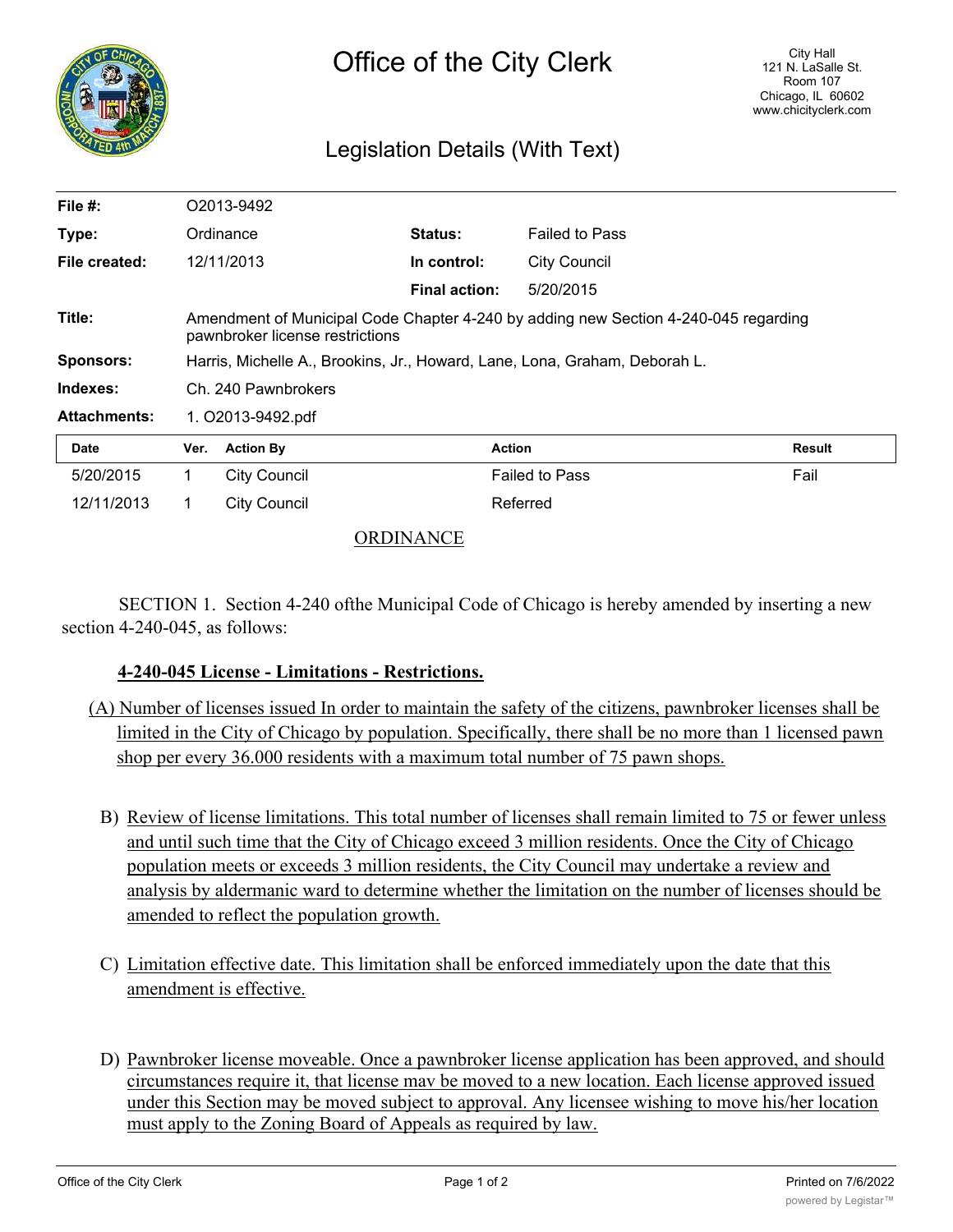

## Legislation Details (With Text)

| File $#$ :          | O2013-9492                                                                                                             |                     |                      |                       |               |
|---------------------|------------------------------------------------------------------------------------------------------------------------|---------------------|----------------------|-----------------------|---------------|
| Type:               | Ordinance                                                                                                              |                     | <b>Status:</b>       | <b>Failed to Pass</b> |               |
| File created:       |                                                                                                                        | 12/11/2013          | In control:          | <b>City Council</b>   |               |
|                     |                                                                                                                        |                     | <b>Final action:</b> | 5/20/2015             |               |
| Title:              | Amendment of Municipal Code Chapter 4-240 by adding new Section 4-240-045 regarding<br>pawnbroker license restrictions |                     |                      |                       |               |
| <b>Sponsors:</b>    | Harris, Michelle A., Brookins, Jr., Howard, Lane, Lona, Graham, Deborah L.                                             |                     |                      |                       |               |
| Indexes:            | Ch. 240 Pawnbrokers                                                                                                    |                     |                      |                       |               |
| <b>Attachments:</b> | 1. O2013-9492.pdf                                                                                                      |                     |                      |                       |               |
| <b>Date</b>         | Ver.                                                                                                                   | <b>Action By</b>    |                      | <b>Action</b>         | <b>Result</b> |
| 5/20/2015           | 1                                                                                                                      | <b>City Council</b> |                      | <b>Failed to Pass</b> | Fail          |
| 12/11/2013          | 1.                                                                                                                     | <b>City Council</b> |                      | Referred              |               |

## ORDINANCE

SECTION 1. Section 4-240 ofthe Municipal Code of Chicago is hereby amended by inserting a new section 4-240-045, as follows:

## **4-240-045 License - Limitations - Restrictions.**

- (A) Number of licenses issued In order to maintain the safety of the citizens, pawnbroker licenses shall be limited in the City of Chicago by population. Specifically, there shall be no more than 1 licensed pawn shop per every 36.000 residents with a maximum total number of 75 pawn shops.
	- B) Review of license limitations. This total number of licenses shall remain limited to 75 or fewer unless and until such time that the City of Chicago exceed 3 million residents. Once the City of Chicago population meets or exceeds 3 million residents, the City Council may undertake a review and analysis by aldermanic ward to determine whether the limitation on the number of licenses should be amended to reflect the population growth.
	- C) Limitation effective date. This limitation shall be enforced immediately upon the date that this amendment is effective.
	- D) Pawnbroker license moveable. Once a pawnbroker license application has been approved, and should circumstances require it, that license mav be moved to a new location. Each license approved issued under this Section may be moved subject to approval. Any licensee wishing to move his/her location must apply to the Zoning Board of Appeals as required by law.